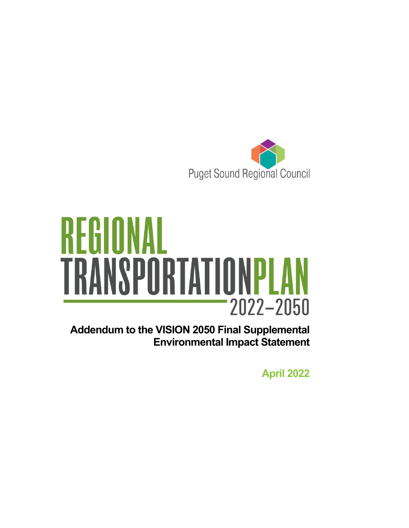



**Addendum to the VISION 2050 Final Supplemental Environmental Impact Statement**

**April 2022**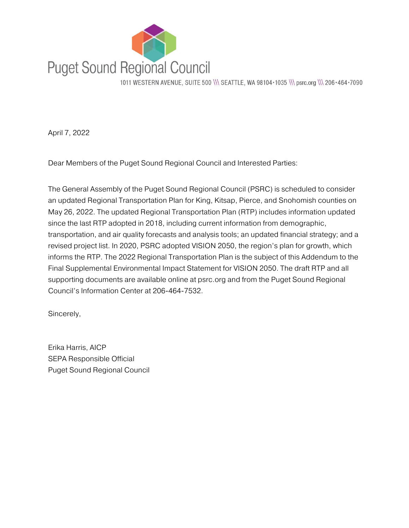

1011 WESTERN AVENUE, SUITE 500 \\\ SEATTLE, WA 98104 · 1035 \\\ psrc.org \\\ 206 · 464 · 7090

April 7, 2022

Dear Members of the Puget Sound Regional Council and Interested Parties:

The General Assembly of the Puget Sound Regional Council (PSRC) is scheduled to consider an updated Regional Transportation Plan for King, Kitsap, Pierce, and Snohomish counties on May 26, 2022. The updated Regional Transportation Plan (RTP) includes information updated since the last RTP adopted in 2018, including current information from demographic, transportation, and air quality forecasts and analysis tools; an updated financial strategy; and a revised project list. In 2020, PSRC adopted VISION 2050, the region's plan for growth, which informs the RTP. The 2022 Regional Transportation Plan is the subject of this Addendum to the Final Supplemental Environmental Impact Statement for VISION 2050. The draft RTP and all supporting documents are available online at psrc.org and from the Puget Sound Regional Council's Information Center at 206-464-7532.

Sincerely,

Erika Harris, AICP SEPA Responsible Official Puget Sound Regional Council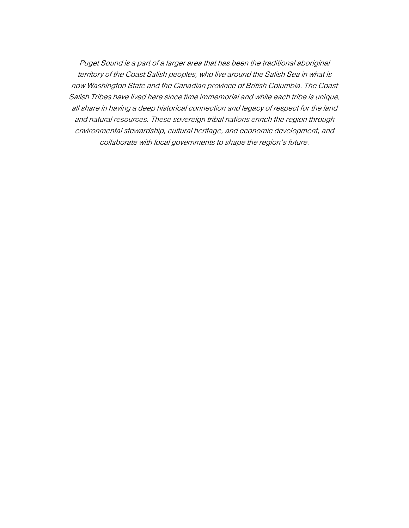Puget Sound is a part of a larger area that has been the traditional aboriginal territory of the Coast Salish peoples, who live around the Salish Sea in what is now Washington State and the Canadian province of British Columbia. The Coast Salish Tribes have lived here since time immemorial and while each tribe is unique, all share in having a deep historical connection and legacy of respect for the land and natural resources. These sovereign tribal nations enrich the region through environmental stewardship, cultural heritage, and economic development, and collaborate with local governments to shape the region's future.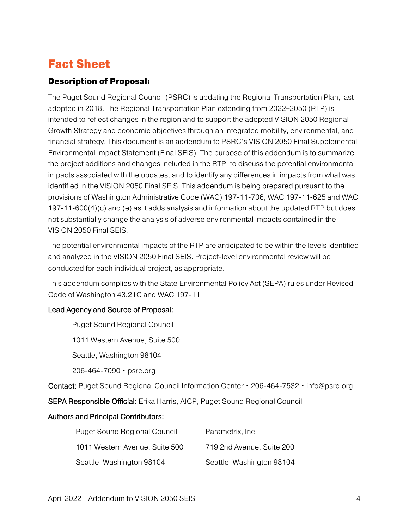### Fact Sheet

#### Description of Proposal:

The Puget Sound Regional Council (PSRC) is updating the Regional Transportation Plan, last adopted in 2018. The Regional Transportation Plan extending from 2022–2050 (RTP) is intended to reflect changes in the region and to support the adopted VISION 2050 Regional Growth Strategy and economic objectives through an integrated mobility, environmental, and financial strategy. This document is an addendum to PSRC's VISION 2050 Final Supplemental Environmental Impact Statement (Final SEIS). The purpose of this addendum is to summarize the project additions and changes included in the RTP, to discuss the potential environmental impacts associated with the updates, and to identify any differences in impacts from what was identified in the VISION 2050 Final SEIS. This addendum is being prepared pursuant to the provisions of Washington Administrative Code (WAC) 197-11-706, WAC 197-11-625 and WAC 197-11-600(4)(c) and (e) as it adds analysis and information about the updated RTP but does not substantially change the analysis of adverse environmental impacts contained in the VISION 2050 Final SEIS.

The potential environmental impacts of the RTP are anticipated to be within the levels identified and analyzed in the VISION 2050 Final SEIS. Project-level environmental review will be conducted for each individual project, as appropriate.

This addendum complies with the State Environmental Policy Act (SEPA) rules under Revised Code of Washington 43.21C and WAC 197-11.

#### Lead Agency and Source of Proposal:

Puget Sound Regional Council

1011 Western Avenue, Suite 500

Seattle, Washington 98104

206-464-7090 • psrc.org

Contact: Puget Sound Regional Council Information Center • 206-464-7532 • info@psrc.org

SEPA Responsible Official: Erika Harris, AICP, Puget Sound Regional Council

#### Authors and Principal Contributors:

| <b>Puget Sound Regional Council</b> | Parametrix, Inc.          |
|-------------------------------------|---------------------------|
| 1011 Western Avenue, Suite 500      | 719 2nd Avenue, Suite 200 |
| Seattle, Washington 98104           | Seattle, Washington 98104 |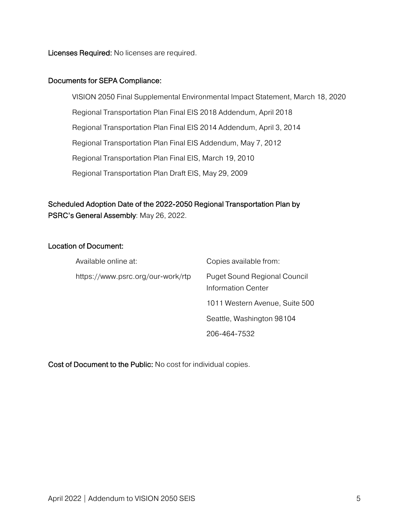Licenses Required: No licenses are required.

#### Documents for SEPA Compliance:

VISION 2050 Final Supplemental Environmental Impact Statement, March 18, 2020 Regional Transportation Plan Final EIS 2018 Addendum, April 2018 Regional Transportation Plan Final EIS 2014 Addendum, April 3, 2014 Regional Transportation Plan Final EIS Addendum, May 7, 2012 Regional Transportation Plan Final EIS, March 19, 2010 Regional Transportation Plan Draft EIS, May 29, 2009

### Scheduled Adoption Date of the 2022-2050 Regional Transportation Plan by PSRC's General Assembly: May 26, 2022.

#### Location of Document:

| Available online at:              | Copies available from:                                    |  |
|-----------------------------------|-----------------------------------------------------------|--|
| https://www.psrc.org/our-work/rtp | <b>Puget Sound Regional Council</b><br>Information Center |  |
|                                   | 1011 Western Avenue, Suite 500                            |  |
|                                   | Seattle, Washington 98104                                 |  |
|                                   | 206-464-7532                                              |  |

Cost of Document to the Public: No cost for individual copies.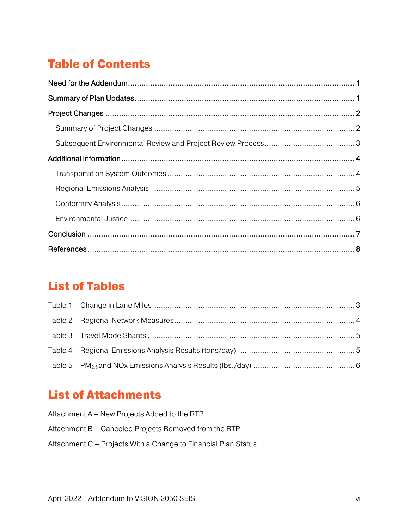# **Table of Contents**

## **List of Tables**

## **List of Attachments**

| Attachment A – New Projects Added to the RTP                   |
|----------------------------------------------------------------|
| Attachment B – Canceled Projects Removed from the RTP          |
| Attachment C – Projects With a Change to Financial Plan Status |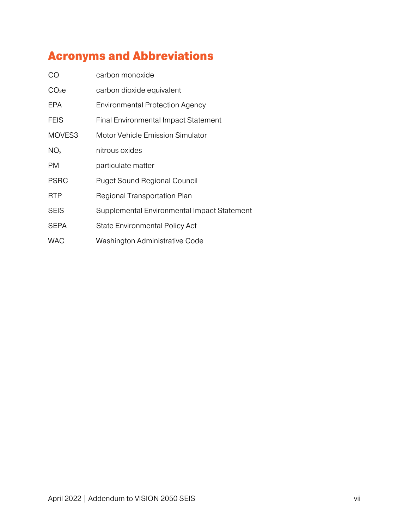## Acronyms and Abbreviations

| <b>CO</b>         | carbon monoxide                             |
|-------------------|---------------------------------------------|
| CO <sub>2</sub> e | carbon dioxide equivalent                   |
| EPA               | <b>Environmental Protection Agency</b>      |
| <b>FEIS</b>       | Final Environmental Impact Statement        |
| MOVES3            | Motor Vehicle Emission Simulator            |
| $NO_{x}$          | nitrous oxides                              |
| <b>PM</b>         | particulate matter                          |
| <b>PSRC</b>       | <b>Puget Sound Regional Council</b>         |
| <b>RTP</b>        | Regional Transportation Plan                |
| <b>SEIS</b>       | Supplemental Environmental Impact Statement |
| <b>SEPA</b>       | <b>State Environmental Policy Act</b>       |
| <b>WAC</b>        | Washington Administrative Code              |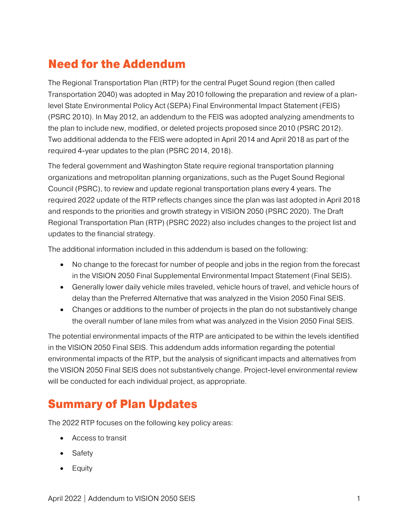## <span id="page-7-0"></span>Need for the Addendum

The Regional Transportation Plan (RTP) for the central Puget Sound region (then called Transportation 2040) was adopted in May 2010 following the preparation and review of a planlevel State Environmental Policy Act (SEPA) Final Environmental Impact Statement (FEIS) (PSRC 2010). In May 2012, an addendum to the FEIS was adopted analyzing amendments to the plan to include new, modified, or deleted projects proposed since 2010 (PSRC 2012). Two additional addenda to the FEIS were adopted in April 2014 and April 2018 as part of the required 4-year updates to the plan (PSRC 2014, 2018).

The federal government and Washington State require regional transportation planning organizations and metropolitan planning organizations, such as the Puget Sound Regional Council (PSRC), to review and update regional transportation plans every 4 years. The required 2022 update of the RTP reflects changes since the plan was last adopted in April 2018 and responds to the priorities and growth strategy in VISION 2050 (PSRC 2020). The Draft Regional Transportation Plan (RTP) (PSRC 2022) also includes changes to the project list and updates to the financial strategy.

The additional information included in this addendum is based on the following:

- No change to the forecast for number of people and jobs in the region from the forecast in the VISION 2050 Final Supplemental Environmental Impact Statement (Final SEIS).
- Generally lower daily vehicle miles traveled, vehicle hours of travel, and vehicle hours of delay than the Preferred Alternative that was analyzed in the Vision 2050 Final SEIS.
- Changes or additions to the number of projects in the plan do not substantively change the overall number of lane miles from what was analyzed in the Vision 2050 Final SEIS.

The potential environmental impacts of the RTP are anticipated to be within the levels identified in the VISION 2050 Final SEIS. This addendum adds information regarding the potential environmental impacts of the RTP, but the analysis of significant impacts and alternatives from the VISION 2050 Final SEIS does not substantively change. Project-level environmental review will be conducted for each individual project, as appropriate.

### <span id="page-7-1"></span>Summary of Plan Updates

The 2022 RTP focuses on the following key policy areas:

- Access to transit
- Safety
- Equity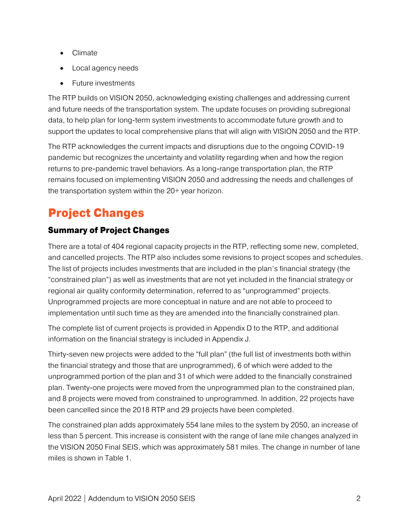- Climate
- Local agency needs
- Future investments

The RTP builds on VISION 2050, acknowledging existing challenges and addressing current and future needs of the transportation system. The update focuses on providing subregional data, to help plan for long-term system investments to accommodate future growth and to support the updates to local comprehensive plans that will align with VISION 2050 and the RTP.

The RTP acknowledges the current impacts and disruptions due to the ongoing COVID-19 pandemic but recognizes the uncertainty and volatility regarding when and how the region returns to pre-pandemic travel behaviors. As a long-range transportation plan, the RTP remains focused on implementing VISION 2050 and addressing the needs and challenges of the transportation system within the 20+ year horizon.

# <span id="page-8-0"></span>Project Changes

### <span id="page-8-1"></span>Summary of Project Changes

There are a total of 404 regional capacity projects in the RTP, reflecting some new, completed, and cancelled projects. The RTP also includes some revisions to project scopes and schedules. The list of projects includes investments that are included in the plan's financial strategy (the "constrained plan") as well as investments that are not yet included in the financial strategy or regional air quality conformity determination, referred to as "unprogrammed" projects. Unprogrammed projects are more conceptual in nature and are not able to proceed to implementation until such time as they are amended into the financially constrained plan.

The complete list of current projects is provided in Appendix D to the RTP, and additional information on the financial strategy is included in Appendix J.

Thirty-seven new projects were added to the "full plan" (the full list of investments both within the financial strategy and those that are unprogrammed), 6 of which were added to the unprogrammed portion of the plan and 31 of which were added to the financially constrained plan. Twenty-one projects were moved from the unprogrammed plan to the constrained plan, and 8 projects were moved from constrained to unprogrammed. In addition, 22 projects have been cancelled since the 2018 RTP and 29 projects have been completed.

<span id="page-8-2"></span>The constrained plan adds approximately 554 lane miles to the system by 2050, an increase of less than 5 percent. This increase is consistent with the range of lane mile changes analyzed in the VISION 2050 Final SEIS, which was approximately 581 miles. The change in number of lane miles is shown in Table 1.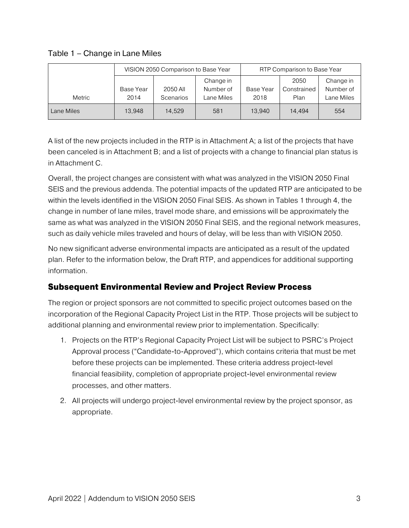Table 1 – Change in Lane Miles

|            | VISION 2050 Comparison to Base Year |                       |                                      | RTP Comparison to Base Year |                             |                                      |
|------------|-------------------------------------|-----------------------|--------------------------------------|-----------------------------|-----------------------------|--------------------------------------|
| Metric     | Base Year<br>2014                   | 2050 All<br>Scenarios | Change in<br>Number of<br>Lane Miles | Base Year<br>2018           | 2050<br>Constrained<br>Plan | Change in<br>Number of<br>Lane Miles |
| Lane Miles | 13,948                              | 14,529                | 581                                  | 13.940                      | 14.494                      | 554                                  |

A list of the new projects included in the RTP is in Attachment A; a list of the projects that have been canceled is in Attachment B; and a list of projects with a change to financial plan status is in Attachment C.

Overall, the project changes are consistent with what was analyzed in the VISION 2050 Final SEIS and the previous addenda. The potential impacts of the updated RTP are anticipated to be within the levels identified in the VISION 2050 Final SEIS. As shown in Tables 1 through 4, the change in number of lane miles, travel mode share, and emissions will be approximately the same as what was analyzed in the VISION 2050 Final SEIS, and the regional network measures, such as daily vehicle miles traveled and hours of delay, will be less than with VISION 2050.

No new significant adverse environmental impacts are anticipated as a result of the updated plan. Refer to the information below, the Draft RTP, and appendices for additional supporting information.

#### <span id="page-9-0"></span>Subsequent Environmental Review and Project Review Process

The region or project sponsors are not committed to specific project outcomes based on the incorporation of the Regional Capacity Project List in the RTP. Those projects will be subject to additional planning and environmental review prior to implementation. Specifically:

- 1. Projects on the RTP's Regional Capacity Project List will be subject to PSRC's Project Approval process ("Candidate-to-Approved"), which contains criteria that must be met before these projects can be implemented. These criteria address project-level financial feasibility, completion of appropriate project-level environmental review processes, and other matters.
- <span id="page-9-1"></span>2. All projects will undergo project-level environmental review by the project sponsor, as appropriate.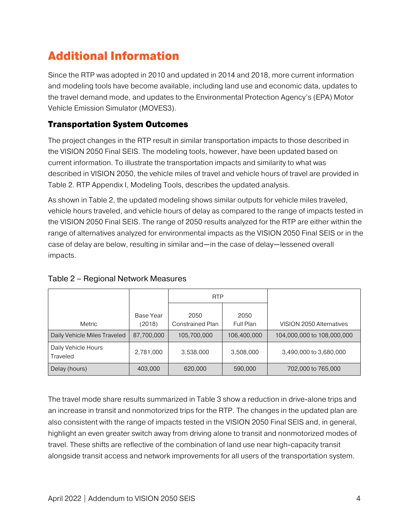## Additional Information

Since the RTP was adopted in 2010 and updated in 2014 and 2018, more current information and modeling tools have become available, including land use and economic data, updates to the travel demand mode, and updates to the Environmental Protection Agency's (EPA) Motor Vehicle Emission Simulator (MOVES3).

### <span id="page-10-0"></span>Transportation System Outcomes

The project changes in the RTP result in similar transportation impacts to those described in the VISION 2050 Final SEIS. The modeling tools, however, have been updated based on current information. To illustrate the transportation impacts and similarity to what was described in VISION 2050, the vehicle miles of travel and vehicle hours of travel are provided in Table 2. RTP Appendix I, Modeling Tools, describes the updated analysis.

<span id="page-10-1"></span>As shown in Table 2, the updated modeling shows similar outputs for vehicle miles traveled, vehicle hours traveled, and vehicle hours of delay as compared to the range of impacts tested in the VISION 2050 Final SEIS. The range of 2050 results analyzed for the RTP are either within the range of alternatives analyzed for environmental impacts as the VISION 2050 Final SEIS or in the case of delay are below, resulting in similar and—in the case of delay—lessened overall impacts.

|                                 |                     | <b>RTP</b>               |                   |                            |
|---------------------------------|---------------------|--------------------------|-------------------|----------------------------|
| Metric                          | Base Year<br>(2018) | 2050<br>Constrained Plan | 2050<br>Full Plan | VISION 2050 Alternatives   |
| Daily Vehicle Miles Traveled    | 87,700,000          | 105,700,000              | 106,400,000       | 104,000,000 to 108,000,000 |
| Daily Vehicle Hours<br>Traveled | 2,781,000           | 3,538,000                | 3,508,000         | 3,490,000 to 3,680,000     |
| Delay (hours)                   | 403,000             | 620,000                  | 590,000           | 702,000 to 765,000         |

#### Table 2 – Regional Network Measures

<span id="page-10-2"></span>The travel mode share results summarized in Table 3 show a reduction in drive-alone trips and an increase in transit and nonmotorized trips for the RTP. The changes in the updated plan are also consistent with the range of impacts tested in the VISION 2050 Final SEIS and, in general, highlight an even greater switch away from driving alone to transit and nonmotorized modes of travel. These shifts are reflective of the combination of land use near high-capacity transit alongside transit access and network improvements for all users of the transportation system.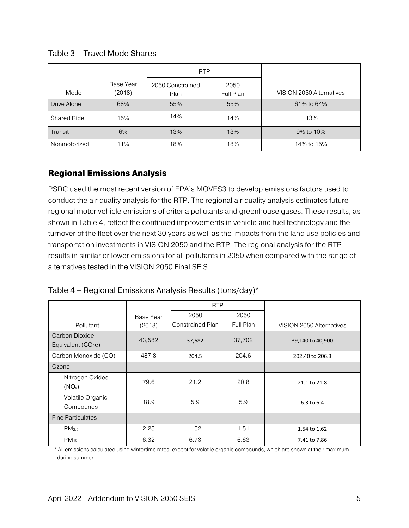Mode Base Year (2018) RTP VISION 2050 Alternatives 2050 Constrained Plan 2050 Full Plan Drive Alone | 68% | 55% | 55% | 61% to 64% Shared Ride | 15% | 14% | 14% | 14% | 13% Transit 6% 13% 13% 9% to 10% Nonmotorized 11% 18% 18% 18% 18% 14% to 15%

Table 3 – Travel Mode Shares

#### <span id="page-11-0"></span>Regional Emissions Analysis

<span id="page-11-1"></span>PSRC used the most recent version of EPA's MOVES3 to develop emissions factors used to conduct the air quality analysis for the RTP. The regional air quality analysis estimates future regional motor vehicle emissions of criteria pollutants and greenhouse gases. These results, as shown in Table 4, reflect the continued improvements in vehicle and fuel technology and the turnover of the fleet over the next 30 years as well as the impacts from the land use policies and transportation investments in VISION 2050 and the RTP. The regional analysis for the RTP results in similar or lower emissions for all pollutants in 2050 when compared with the range of alternatives tested in the VISION 2050 Final SEIS.

|                                       |           | <b>RTP</b>       |           |                          |
|---------------------------------------|-----------|------------------|-----------|--------------------------|
|                                       | Base Year | 2050             | 2050      |                          |
| Pollutant                             | (2018)    | Constrained Plan | Full Plan | VISION 2050 Alternatives |
| Carbon Dioxide<br>Equivalent $(CO2e)$ | 43,582    | 37,682           | 37,702    | 39,140 to 40,900         |
| Carbon Monoxide (CO)                  | 487.8     | 204.5            | 204.6     | 202.40 to 206.3          |
| Ozone                                 |           |                  |           |                          |
| Nitrogen Oxides<br>$(NO_x)$           | 79.6      | 21.2             | 20.8      | 21.1 to 21.8             |
| Volatile Organic<br>Compounds         | 18.9      | 5.9              | 5.9       | 6.3 to 6.4               |
| <b>Fine Particulates</b>              |           |                  |           |                          |
| $PM_{2.5}$                            | 2.25      | 1.52             | 1.51      | 1.54 to 1.62             |
| $PM_{10}$                             | 6.32      | 6.73             | 6.63      | 7.41 to 7.86             |

|  | Table 4 - Regional Emissions Analysis Results (tons/day)* |  |
|--|-----------------------------------------------------------|--|
|--|-----------------------------------------------------------|--|

\* All emissions calculated using wintertime rates, except for volatile organic compounds, which are shown at their maximum during summer.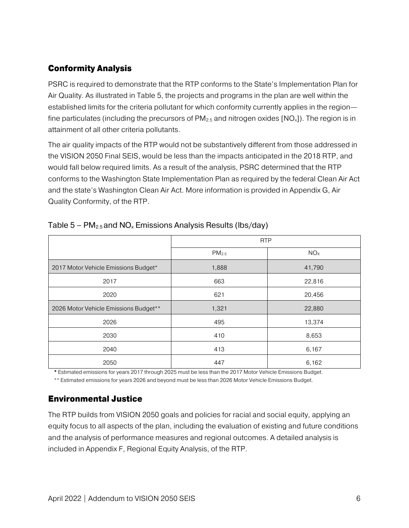### <span id="page-12-0"></span>Conformity Analysis

PSRC is required to demonstrate that the RTP conforms to the State's Implementation Plan for Air Quality. As illustrated in Table 5, the projects and programs in the plan are well within the established limits for the criteria pollutant for which conformity currently applies in the region fine particulates (including the precursors of  $PM_{2.5}$  and nitrogen oxides  $[NO_{x}]$ ). The region is in attainment of all other criteria pollutants.

The air quality impacts of the RTP would not be substantively different from those addressed in the VISION 2050 Final SEIS, would be less than the impacts anticipated in the 2018 RTP, and would fall below required limits. As a result of the analysis, PSRC determined that the RTP conforms to the Washington State Implementation Plan as required by the federal Clean Air Act and the state's Washington Clean Air Act. More information is provided in Appendix G, Air Quality Conformity, of the RTP.

|                                       | <b>RTP</b>        |                 |  |
|---------------------------------------|-------------------|-----------------|--|
|                                       | PM <sub>2.5</sub> | NO <sub>x</sub> |  |
| 2017 Motor Vehicle Emissions Budget*  | 1,888             | 41,790          |  |
| 2017                                  | 663               | 22,816          |  |
| 2020                                  | 621               | 20,456          |  |
| 2026 Motor Vehicle Emissions Budget** | 1,321             | 22,880          |  |
| 2026                                  | 495               | 13,374          |  |
| 2030                                  | 410               | 8,653           |  |
| 2040                                  | 413               | 6,167           |  |
| 2050                                  | 447               | 6,162           |  |

<span id="page-12-2"></span>

| Table $5$ – PM <sub>2.5</sub> and NO <sub>x</sub> Emissions Analysis Results (lbs/day) |  |  |
|----------------------------------------------------------------------------------------|--|--|
|----------------------------------------------------------------------------------------|--|--|

\* Estimated emissions for years 2017 through 2025 must be less than the 2017 Motor Vehicle Emissions Budget.

\*\* Estimated emissions for years 2026 and beyond must be less than 2026 Motor Vehicle Emissions Budget.

#### <span id="page-12-1"></span>Environmental Justice

The RTP builds from VISION 2050 goals and policies for racial and social equity, applying an equity focus to all aspects of the plan, including the evaluation of existing and future conditions and the analysis of performance measures and regional outcomes. A detailed analysis is included in Appendix F, Regional Equity Analysis, of the RTP.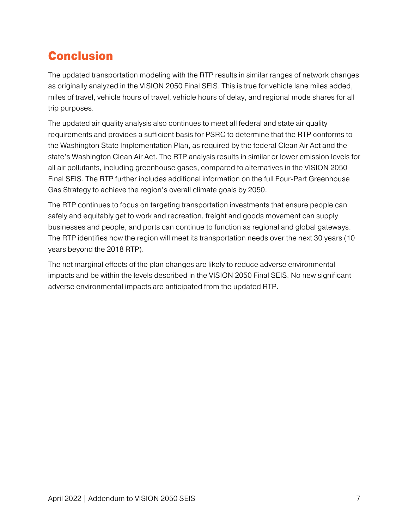## <span id="page-13-0"></span>Conclusion

The updated transportation modeling with the RTP results in similar ranges of network changes as originally analyzed in the VISION 2050 Final SEIS. This is true for vehicle lane miles added, miles of travel, vehicle hours of travel, vehicle hours of delay, and regional mode shares for all trip purposes.

The updated air quality analysis also continues to meet all federal and state air quality requirements and provides a sufficient basis for PSRC to determine that the RTP conforms to the Washington State Implementation Plan, as required by the federal Clean Air Act and the state's Washington Clean Air Act. The RTP analysis results in similar or lower emission levels for all air pollutants, including greenhouse gases, compared to alternatives in the VISION 2050 Final SEIS. The RTP further includes additional information on the full Four-Part Greenhouse Gas Strategy to achieve the region's overall climate goals by 2050.

The RTP continues to focus on targeting transportation investments that ensure people can safely and equitably get to work and recreation, freight and goods movement can supply businesses and people, and ports can continue to function as regional and global gateways. The RTP identifies how the region will meet its transportation needs over the next 30 years (10 years beyond the 2018 RTP).

The net marginal effects of the plan changes are likely to reduce adverse environmental impacts and be within the levels described in the VISION 2050 Final SEIS. No new significant adverse environmental impacts are anticipated from the updated RTP.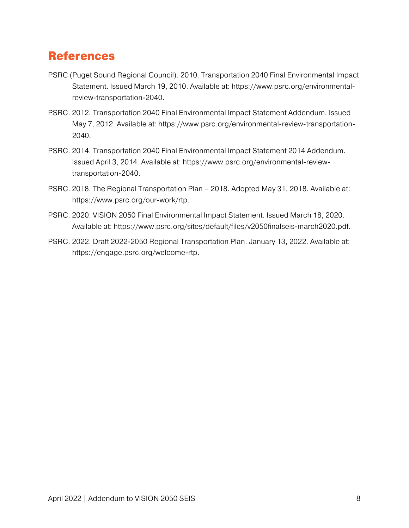### <span id="page-14-0"></span>References

- PSRC (Puget Sound Regional Council). 2010. Transportation 2040 Final Environmental Impact Statement. Issued March 19, 2010. Available at: https://www.psrc.org/environmentalreview-transportation-2040.
- PSRC. 2012. Transportation 2040 Final Environmental Impact Statement Addendum. Issued May 7, 2012. Available at: https://www.psrc.org/environmental-review-transportation-2040.
- PSRC. 2014. Transportation 2040 Final Environmental Impact Statement 2014 Addendum. Issued April 3, 2014. Available at: https://www.psrc.org/environmental-reviewtransportation-2040.
- PSRC. 2018. The Regional Transportation Plan 2018. Adopted May 31, 2018. Available at: https://www.psrc.org/our-work/rtp.
- PSRC. 2020. VISION 2050 Final Environmental Impact Statement. Issued March 18, 2020. Available at: https://www.psrc.org/sites/default/files/v2050finalseis-march2020.pdf.
- PSRC. 2022. Draft 2022-2050 Regional Transportation Plan. January 13, 2022. Available at: https://engage.psrc.org/welcome-rtp.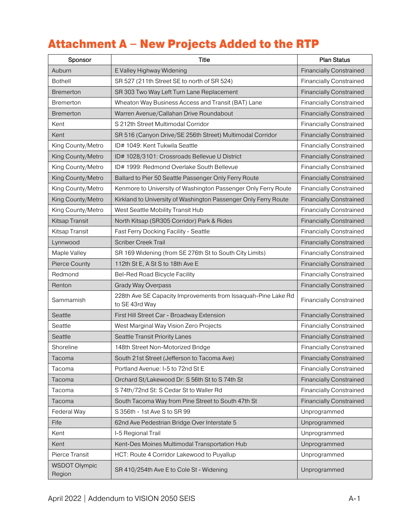## <span id="page-15-0"></span>Attachment A – New Projects Added to the RTP

| Sponsor                        | Title                                                                           | <b>Plan Status</b>             |
|--------------------------------|---------------------------------------------------------------------------------|--------------------------------|
| Auburn                         | E Valley Highway Widening                                                       | <b>Financially Constrained</b> |
| <b>Bothell</b>                 | SR 527 (211th Street SE to north of SR 524)                                     | <b>Financially Constrained</b> |
| Bremerton                      | SR 303 Two Way Left Turn Lane Replacement                                       | <b>Financially Constrained</b> |
| <b>Bremerton</b>               | Wheaton Way Business Access and Transit (BAT) Lane                              | <b>Financially Constrained</b> |
| <b>Bremerton</b>               | Warren Avenue/Callahan Drive Roundabout                                         | <b>Financially Constrained</b> |
| Kent                           | S 212th Street Multimodal Corridor                                              | <b>Financially Constrained</b> |
| Kent                           | SR 516 (Canyon Drive/SE 256th Street) Multimodal Corridor                       | <b>Financially Constrained</b> |
| King County/Metro              | ID# 1049: Kent Tukwila Seattle                                                  | <b>Financially Constrained</b> |
| King County/Metro              | ID# 1028/3101: Crossroads Bellevue U District                                   | <b>Financially Constrained</b> |
| King County/Metro              | ID# 1999: Redmond Overlake South Bellevue                                       | <b>Financially Constrained</b> |
| King County/Metro              | Ballard to Pier 50 Seattle Passenger Only Ferry Route                           | <b>Financially Constrained</b> |
| King County/Metro              | Kenmore to University of Washington Passenger Only Ferry Route                  | <b>Financially Constrained</b> |
| King County/Metro              | Kirkland to University of Washington Passenger Only Ferry Route                 | <b>Financially Constrained</b> |
| King County/Metro              | West Seattle Mobility Transit Hub                                               | <b>Financially Constrained</b> |
| Kitsap Transit                 | North Kitsap (SR305 Corridor) Park & Rides                                      | <b>Financially Constrained</b> |
| Kitsap Transit                 | Fast Ferry Docking Facility - Seattle                                           | <b>Financially Constrained</b> |
| Lynnwood                       | <b>Scriber Creek Trail</b>                                                      | <b>Financially Constrained</b> |
| Maple Valley                   | SR 169 Widening (from SE 276th St to South City Limits)                         | <b>Financially Constrained</b> |
| <b>Pierce County</b>           | 112th St E, A St S to 18th Ave E                                                | <b>Financially Constrained</b> |
| Redmond                        | <b>Bel-Red Road Bicycle Facility</b>                                            | <b>Financially Constrained</b> |
| Renton                         | Grady Way Overpass                                                              | <b>Financially Constrained</b> |
| Sammamish                      | 228th Ave SE Capacity Improvements from Issaquah-Pine Lake Rd<br>to SE 43rd Way | <b>Financially Constrained</b> |
| Seattle                        | First Hill Street Car - Broadway Extension                                      | <b>Financially Constrained</b> |
| Seattle                        | West Marginal Way Vision Zero Projects                                          | <b>Financially Constrained</b> |
| Seattle                        | Seattle Transit Priority Lanes                                                  | <b>Financially Constrained</b> |
| Shoreline                      | 148th Street Non-Motorized Bridge                                               | <b>Financially Constrained</b> |
| Tacoma                         | South 21st Street (Jefferson to Tacoma Ave)                                     | <b>Financially Constrained</b> |
| Tacoma                         | Portland Avenue: I-5 to 72nd St E                                               | <b>Financially Constrained</b> |
| Tacoma                         | Orchard St/Lakewood Dr: S 56th St to S 74th St                                  | <b>Financially Constrained</b> |
| Tacoma                         | S 74th/72nd St: S Cedar St to Waller Rd                                         | <b>Financially Constrained</b> |
| Tacoma                         | South Tacoma Way from Pine Street to South 47th St                              | <b>Financially Constrained</b> |
| Federal Way                    | S 356th - 1st Ave S to SR 99                                                    | Unprogrammed                   |
| Fife                           | 62nd Ave Pedestrian Bridge Over Interstate 5                                    | Unprogrammed                   |
| Kent                           | I-5 Regional Trail                                                              | Unprogrammed                   |
| Kent                           | Kent-Des Moines Multimodal Transportation Hub                                   | Unprogrammed                   |
| Pierce Transit                 | HCT: Route 4 Corridor Lakewood to Puyallup                                      | Unprogrammed                   |
| <b>WSDOT Olympic</b><br>Region | SR 410/254th Ave E to Cole St - Widening                                        | Unprogrammed                   |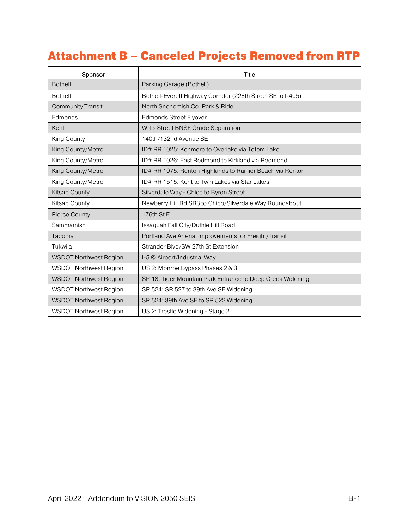# <span id="page-16-0"></span>Attachment B – Canceled Projects Removed from RTP

| Sponsor                       | Title                                                       |  |  |
|-------------------------------|-------------------------------------------------------------|--|--|
| <b>Bothell</b>                | Parking Garage (Bothell)                                    |  |  |
| <b>Bothell</b>                | Bothell-Everett Highway Corridor (228th Street SE to I-405) |  |  |
| <b>Community Transit</b>      | North Snohomish Co. Park & Ride                             |  |  |
| Edmonds                       | <b>Edmonds Street Flyover</b>                               |  |  |
| Kent                          | Willis Street BNSF Grade Separation                         |  |  |
| King County                   | 140th/132nd Avenue SE                                       |  |  |
| King County/Metro             | ID# RR 1025: Kenmore to Overlake via Totem Lake             |  |  |
| King County/Metro             | ID# RR 1026: East Redmond to Kirkland via Redmond           |  |  |
| King County/Metro             | ID# RR 1075: Renton Highlands to Rainier Beach via Renton   |  |  |
| King County/Metro             | ID# RR 1515: Kent to Twin Lakes via Star Lakes              |  |  |
| <b>Kitsap County</b>          | Silverdale Way - Chico to Byron Street                      |  |  |
| Kitsap County                 | Newberry Hill Rd SR3 to Chico/Silverdale Way Roundabout     |  |  |
| <b>Pierce County</b>          | 176th St E                                                  |  |  |
| Sammamish                     | Issaquah Fall City/Duthie Hill Road                         |  |  |
| Tacoma                        | Portland Ave Arterial Improvements for Freight/Transit      |  |  |
| Tukwila                       | Strander Blvd/SW 27th St Extension                          |  |  |
| <b>WSDOT Northwest Region</b> | I-5 @ Airport/Industrial Way                                |  |  |
| <b>WSDOT Northwest Region</b> | US 2: Monroe Bypass Phases 2 & 3                            |  |  |
| <b>WSDOT Northwest Region</b> | SR 18: Tiger Mountain Park Entrance to Deep Creek Widening  |  |  |
| <b>WSDOT Northwest Region</b> | SR 524: SR 527 to 39th Ave SE Widening                      |  |  |
| <b>WSDOT Northwest Region</b> | SR 524: 39th Ave SE to SR 522 Widening                      |  |  |
| <b>WSDOT Northwest Region</b> | US 2: Trestle Widening - Stage 2                            |  |  |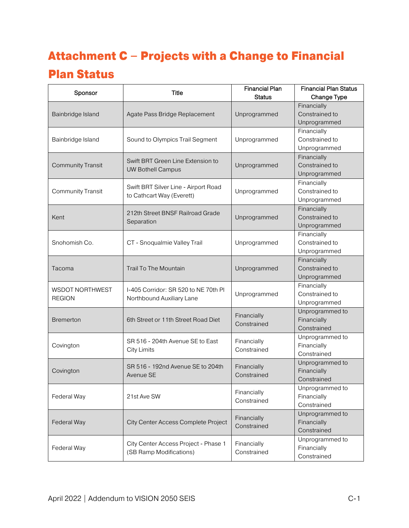# <span id="page-17-0"></span>Attachment C – Projects with a Change to Financial

### Plan Status

| Sponsor                                 | <b>Title</b>                                                      | <b>Financial Plan</b><br><b>Status</b> | <b>Financial Plan Status</b><br>Change Type   |
|-----------------------------------------|-------------------------------------------------------------------|----------------------------------------|-----------------------------------------------|
| Bainbridge Island                       | Agate Pass Bridge Replacement                                     | Unprogrammed                           | Financially<br>Constrained to<br>Unprogrammed |
| Bainbridge Island                       | Sound to Olympics Trail Segment                                   | Unprogrammed                           | Financially<br>Constrained to<br>Unprogrammed |
| <b>Community Transit</b>                | Swift BRT Green Line Extension to<br><b>UW Bothell Campus</b>     | Unprogrammed                           | Financially<br>Constrained to<br>Unprogrammed |
| <b>Community Transit</b>                | Swift BRT Silver Line - Airport Road<br>to Cathcart Way (Everett) | Unprogrammed                           | Financially<br>Constrained to<br>Unprogrammed |
| Kent                                    | 212th Street BNSF Railroad Grade<br>Separation                    | Unprogrammed                           | Financially<br>Constrained to<br>Unprogrammed |
| Snohomish Co.                           | CT - Snoqualmie Valley Trail                                      | Unprogrammed                           | Financially<br>Constrained to<br>Unprogrammed |
| Tacoma                                  | <b>Trail To The Mountain</b>                                      | Unprogrammed                           | Financially<br>Constrained to<br>Unprogrammed |
| <b>WSDOT NORTHWEST</b><br><b>REGION</b> | I-405 Corridor: SR 520 to NE 70th PI<br>Northbound Auxiliary Lane | Unprogrammed                           | Financially<br>Constrained to<br>Unprogrammed |
| <b>Bremerton</b>                        | 6th Street or 11th Street Road Diet                               | Financially<br>Constrained             | Unprogrammed to<br>Financially<br>Constrained |
| Covington                               | SR 516 - 204th Avenue SE to East<br><b>City Limits</b>            | Financially<br>Constrained             | Unprogrammed to<br>Financially<br>Constrained |
| Covington                               | SR 516 - 192nd Avenue SE to 204th<br>Avenue SE                    | Financially<br>Constrained             | Unprogrammed to<br>Financially<br>Constrained |
| Federal Way                             | 21st Ave SW                                                       | Financially<br>Constrained             | Unprogrammed to<br>Financially<br>Constrained |
| Federal Way                             | City Center Access Complete Project                               | Financially<br>Constrained             | Unprogrammed to<br>Financially<br>Constrained |
| Federal Way                             | City Center Access Project - Phase 1<br>(SB Ramp Modifications)   | Financially<br>Constrained             | Unprogrammed to<br>Financially<br>Constrained |